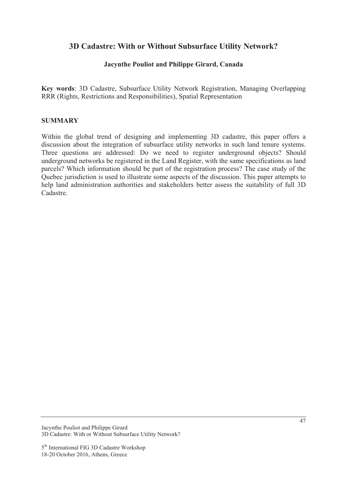# **3D Cadastre: With or Without Subsurface Utility Network?**

### **Jacynthe Pouliot and Philippe Girard, Canada**

**Key words**: 3D Cadastre, Subsurface Utility Network Registration, Managing Overlapping RRR (Rights, Restrictions and Responsibilities), Spatial Representation

#### **SUMMARY**

Within the global trend of designing and implementing 3D cadastre, this paper offers a discussion about the integration of subsurface utility networks in such land tenure systems. Three questions are addressed: Do we need to register underground objects? Should underground networks be registered in the Land Register, with the same specifications as land parcels? Which information should be part of the registration process? The case study of the Quebec jurisdiction is used to illustrate some aspects of the discussion. This paper attempts to help land administration authorities and stakeholders better assess the suitability of full 3D Cadastre.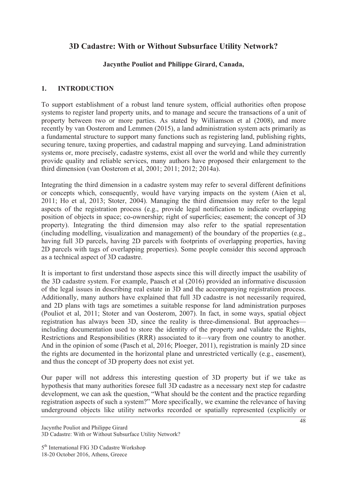# **3D Cadastre: With or Without Subsurface Utility Network?**

# **Jacynthe Pouliot and Philippe Girard, Canada,**

## **1. INTRODUCTION**

To support establishment of a robust land tenure system, official authorities often propose systems to register land property units, and to manage and secure the transactions of a unit of property between two or more parties. As stated by Williamson et al (2008), and more recently by van Oosterom and Lemmen (2015), a land administration system acts primarily as a fundamental structure to support many functions such as registering land, publishing rights, securing tenure, taxing properties, and cadastral mapping and surveying. Land administration systems or, more precisely, cadastre systems, exist all over the world and while they currently provide quality and reliable services, many authors have proposed their enlargement to the third dimension (van Oosterom et al, 2001; 2011; 2012; 2014a).

Integrating the third dimension in a cadastre system may refer to several different definitions or concepts which, consequently, would have varying impacts on the system (Aien et al, 2011; Ho et al, 2013; Stoter, 2004). Managing the third dimension may refer to the legal aspects of the registration process (e.g., provide legal notification to indicate overlapping position of objects in space; co-ownership; right of superficies; easement; the concept of 3D property). Integrating the third dimension may also refer to the spatial representation (including modelling, visualization and management) of the boundary of the properties (e.g., having full 3D parcels, having 2D parcels with footprints of overlapping properties, having 2D parcels with tags of overlapping properties). Some people consider this second approach as a technical aspect of 3D cadastre.

It is important to first understand those aspects since this will directly impact the usability of the 3D cadastre system. For example, Paasch et al (2016) provided an informative discussion of the legal issues in describing real estate in 3D and the accompanying registration process. Additionally, many authors have explained that full 3D cadastre is not necessarily required, and 2D plans with tags are sometimes a suitable response for land administration purposes (Pouliot et al, 2011; Stoter and van Oosterom, 2007). In fact, in some ways, spatial object registration has always been 3D, since the reality is three-dimensional. But approaches including documentation used to store the identity of the property and validate the Rights, Restrictions and Responsibilities (RRR) associated to it—vary from one country to another. And in the opinion of some (Pasch et al, 2016; Ploeger, 2011), registration is mainly 2D since the rights are documented in the horizontal plane and unrestricted vertically (e.g., easement), and thus the concept of 3D property does not exist yet.

Our paper will not address this interesting question of 3D property but if we take as hypothesis that many authorities foresee full 3D cadastre as a necessary next step for cadastre development, we can ask the question, "What should be the content and the practice regarding registration aspects of such a system?" More specifically, we examine the relevance of having underground objects like utility networks recorded or spatially represented (explicitly or

5<sup>th</sup> International FIG 3D Cadastre Workshop 18-20 October 2016, Athens, Greece

Jacynthe Pouliot and Philippe Girard 3D Cadastre: With or Without Subsurface Utility Network?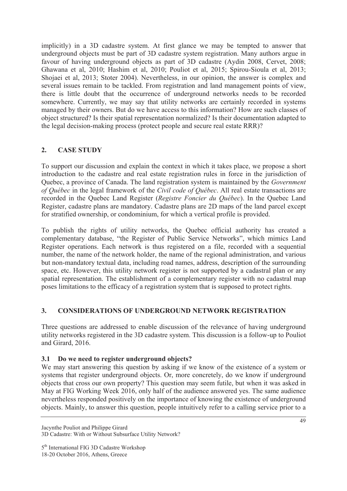implicitly) in a 3D cadastre system. At first glance we may be tempted to answer that underground objects must be part of 3D cadastre system registration. Many authors argue in favour of having underground objects as part of 3D cadastre (Aydin 2008, Cervet, 2008; Ghawana et al, 2010; Hashim et al, 2010; Pouliot et al, 2015; Spirou-Sioula et al, 2013; Shojaei et al, 2013; Stoter 2004). Nevertheless, in our opinion, the answer is complex and several issues remain to be tackled. From registration and land management points of view, there is little doubt that the occurrence of underground networks needs to be recorded somewhere. Currently, we may say that utility networks are certainly recorded in systems managed by their owners. But do we have access to this information? How are such classes of object structured? Is their spatial representation normalized? Is their documentation adapted to the legal decision-making process (protect people and secure real estate RRR)?

# **2. CASE STUDY**

To support our discussion and explain the context in which it takes place, we propose a short introduction to the cadastre and real estate registration rules in force in the jurisdiction of Quebec, a province of Canada. The land registration system is maintained by the *Government of Québec* in the legal framework of the *Civil code of Québec*. All real estate transactions are recorded in the Quebec Land Register (*Registre Foncier du Québec*). In the Quebec Land Register, cadastre plans are mandatory. Cadastre plans are 2D maps of the land parcel except for stratified ownership, or condominium, for which a vertical profile is provided.

To publish the rights of utility networks, the Quebec official authority has created a complementary database, "the Register of Public Service Networks", which mimics Land Register operations. Each network is thus registered on a file, recorded with a sequential number, the name of the network holder, the name of the regional administration, and various but non-mandatory textual data, including road names, address, description of the surrounding space, etc. However, this utility network register is not supported by a cadastral plan or any spatial representation. The establishment of a complementary register with no cadastral map poses limitations to the efficacy of a registration system that is supposed to protect rights.

# **3. CONSIDERATIONS OF UNDERGROUND NETWORK REGISTRATION**

Three questions are addressed to enable discussion of the relevance of having underground utility networks registered in the 3D cadastre system. This discussion is a follow-up to Pouliot and Girard, 2016.

# **3.1 Do we need to register underground objects?**

We may start answering this question by asking if we know of the existence of a system or systems that register underground objects. Or, more concretely, do we know if underground objects that cross our own property? This question may seem futile, but when it was asked in May at FIG Working Week 2016, only half of the audience answered yes. The same audience nevertheless responded positively on the importance of knowing the existence of underground objects. Mainly, to answer this question, people intuitively refer to a calling service prior to a

Jacynthe Pouliot and Philippe Girard 3D Cadastre: With or Without Subsurface Utility Network?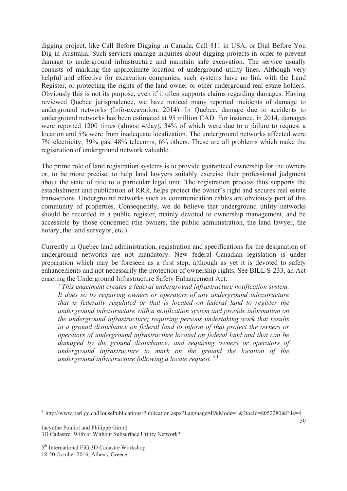digging project, like Call Before Digging in Canada, Call 811 in USA, or Dial Before You Dig in Australia. Such services manage inquiries about digging projects in order to prevent damage to underground infrastructure and maintain safe excavation. The service usually consists of marking the approximate location of underground utility lines. Although very helpful and effective for excavation companies, such systems have no link with the Land Register, or protecting the rights of the land owner or other underground real estate holders. Obviously this is not its purpose, even if it often supports claims regarding damages. Having reviewed Quebec jurisprudence, we have noticed many reported incidents of damage to underground networks (Info-excavation, 2014). In Quebec, damage due to accidents to underground networks has been estimated at 95 million CAD. For instance, in 2014, damages were reported 1200 times (almost 4/day), 34% of which were due to a failure to request a location and 5% were from inadequate localization. The underground networks affected were 7% electricity, 39% gas, 48% telecoms, 6% others. These are all problems which make the registration of underground network valuable.

The prime role of land registration systems is to provide guaranteed ownership for the owners or, to be more precise, to help land lawyers suitably exercise their professional judgment about the state of title to a particular legal unit. The registration process thus supports the establishment and publication of RRR, helps protect the owner's right and secures real estate transactions. Underground networks such as communication cables are obviously part of this community of properties. Consequently, we do believe that underground utility networks should be recorded in a public register, mainly devoted to ownership management, and be accessible by those concerned (the owners, the public administration, the land lawyer, the notary, the land surveyor, etc.).

Currently in Quebec land administration, registration and specifications for the designation of underground networks are not mandatory. New federal Canadian legislation is under preparation which may be foreseen as a first step, although as yet it is devoted to safety enhancements and not necessarily the protection of ownership rights. See BILL S-233, an Act enacting the Underground Infrastructure Safety Enhancement Act:

*"This enactment creates a federal underground infrastructure notification system. It does so by requiring owners or operators of any underground infrastructure that is federally regulated or that is located on federal land to register the underground infrastructure with a notification system and provide information on the underground infrastructure; requiring persons undertaking work that results in a ground disturbance on federal land to inform of that project the owners or operators of underground infrastructure located on federal land and that can be damaged by the ground disturbance; and requiring owners or operators of underground infrastructure to mark on the ground the location of the underground infrastructure following a locate request."*<sup>1</sup>

Jacynthe Pouliot and Philippe Girard 3D Cadastre: With or Without Subsurface Utility Network?

5<sup>th</sup> International FIG 3D Cadastre Workshop 18-20 October 2016, Athens, Greece

 $\overline{a}$ 1 http://www.parl.gc.ca/HousePublications/Publication.aspx?Language=E&Mode=1&DocId=8052280&File=4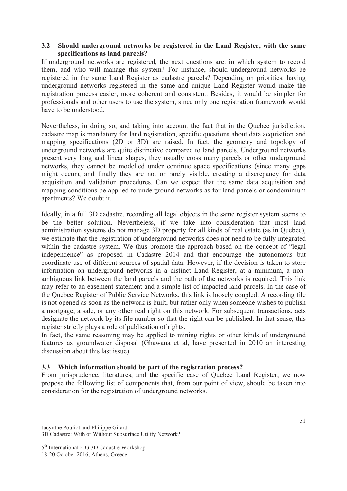#### **3.2 Should underground networks be registered in the Land Register, with the same specifications as land parcels?**

If underground networks are registered, the next questions are: in which system to record them, and who will manage this system? For instance, should underground networks be registered in the same Land Register as cadastre parcels? Depending on priorities, having underground networks registered in the same and unique Land Register would make the registration process easier, more coherent and consistent. Besides, it would be simpler for professionals and other users to use the system, since only one registration framework would have to be understood.

Nevertheless, in doing so, and taking into account the fact that in the Quebec jurisdiction, cadastre map is mandatory for land registration, specific questions about data acquisition and mapping specifications (2D or 3D) are raised. In fact, the geometry and topology of underground networks are quite distinctive compared to land parcels. Underground networks present very long and linear shapes, they usually cross many parcels or other underground networks, they cannot be modelled under continue space specifications (since many gaps might occur), and finally they are not or rarely visible, creating a discrepancy for data acquisition and validation procedures. Can we expect that the same data acquisition and mapping conditions be applied to underground networks as for land parcels or condominium apartments? We doubt it.

Ideally, in a full 3D cadastre, recording all legal objects in the same register system seems to be the better solution. Nevertheless, if we take into consideration that most land administration systems do not manage 3D property for all kinds of real estate (as in Quebec), we estimate that the registration of underground networks does not need to be fully integrated within the cadastre system. We thus promote the approach based on the concept of "legal independence" as proposed in Cadastre 2014 and that encourage the autonomous but coordinate use of different sources of spatial data. However, if the decision is taken to store information on underground networks in a distinct Land Register, at a minimum, a nonambiguous link between the land parcels and the path of the networks is required. This link may refer to an easement statement and a simple list of impacted land parcels. In the case of the Quebec Register of Public Service Networks, this link is loosely coupled. A recording file is not opened as soon as the network is built, but rather only when someone wishes to publish a mortgage, a sale, or any other real right on this network. For subsequent transactions, acts designate the network by its file number so that the right can be published. In that sense, this register strictly plays a role of publication of rights.

In fact, the same reasoning may be applied to mining rights or other kinds of underground features as groundwater disposal (Ghawana et al, have presented in 2010 an interesting discussion about this last issue).

### **3.3 Which information should be part of the registration process?**

From jurisprudence, literatures, and the specific case of Quebec Land Register, we now propose the following list of components that, from our point of view, should be taken into consideration for the registration of underground networks.

Jacynthe Pouliot and Philippe Girard 3D Cadastre: With or Without Subsurface Utility Network?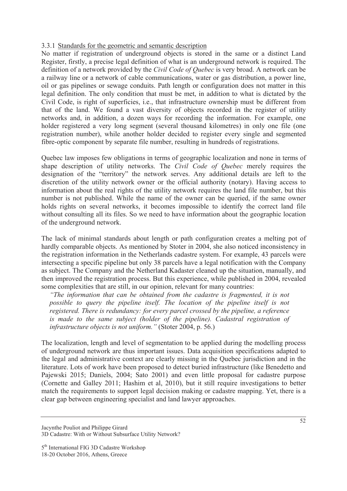### 3.3.1 Standards for the geometric and semantic description

No matter if registration of underground objects is stored in the same or a distinct Land Register, firstly, a precise legal definition of what is an underground network is required. The definition of a network provided by the *Civil Code of Quebec* is very broad. A network can be a railway line or a network of cable communications, water or gas distribution, a power line, oil or gas pipelines or sewage conduits. Path length or configuration does not matter in this legal definition. The only condition that must be met, in addition to what is dictated by the Civil Code, is right of superficies, i.e., that infrastructure ownership must be different from that of the land. We found a vast diversity of objects recorded in the register of utility networks and, in addition, a dozen ways for recording the information. For example, one holder registered a very long segment (several thousand kilometres) in only one file (one registration number), while another holder decided to register every single and segmented fibre-optic component by separate file number, resulting in hundreds of registrations.

Quebec law imposes few obligations in terms of geographic localization and none in terms of shape description of utility networks. The *Civil Code of Quebec* merely requires the designation of the "territory" the network serves. Any additional details are left to the discretion of the utility network owner or the official authority (notary). Having access to information about the real rights of the utility network requires the land file number, but this number is not published. While the name of the owner can be queried, if the same owner holds rights on several networks, it becomes impossible to identify the correct land file without consulting all its files. So we need to have information about the geographic location of the underground network.

The lack of minimal standards about length or path configuration creates a melting pot of hardly comparable objects. As mentioned by Stoter in 2004, she also noticed inconsistency in the registration information in the Netherlands cadastre system. For example, 43 parcels were intersecting a specific pipeline but only 38 parcels have a legal notification with the Company as subject. The Company and the Netherland Kadaster cleaned up the situation, manually, and then improved the registration process. But this experience, while published in 2004, revealed some complexities that are still, in our opinion, relevant for many countries:

*"The information that can be obtained from the cadastre is fragmented, it is not possible to query the pipeline itself. The location of the pipeline itself is not registered. There is redundancy: for every parcel crossed by the pipeline, a reference is made to the same subject (holder of the pipeline). Cadastral registration of infrastructure objects is not uniform."* (Stoter 2004, p. 56.)

The localization, length and level of segmentation to be applied during the modelling process of underground network are thus important issues. Data acquisition specifications adapted to the legal and administrative context are clearly missing in the Quebec jurisdiction and in the literature. Lots of work have been proposed to detect buried infrastructure (like Benedetto and Pajewski 2015; Daniels, 2004; Sato 2001) and even little proposal for cadastre purpose (Cornette and Galley 2011; Hashim et al, 2010), but it still require investigations to better match the requirements to support legal decision making or cadastre mapping. Yet, there is a clear gap between engineering specialist and land lawyer approaches.

Jacynthe Pouliot and Philippe Girard 3D Cadastre: With or Without Subsurface Utility Network?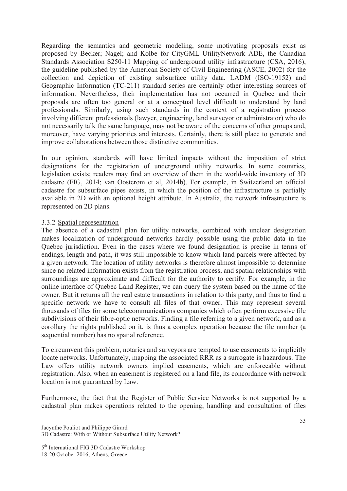Regarding the semantics and geometric modeling, some motivating proposals exist as proposed by Becker; Nagel; and Kolbe for CityGML UtilityNetwork ADE, the Canadian Standards Association S250-11 Mapping of underground utility infrastructure (CSA, 2016), the guideline published by the American Society of Civil Engineering (ASCE, 2002) for the collection and depiction of existing subsurface utility data. LADM (ISO-19152) and Geographic Information (TC-211) standard series are certainly other interesting sources of information. Nevertheless, their implementation has not occurred in Quebec and their proposals are often too general or at a conceptual level difficult to understand by land professionals. Similarly, using such standards in the context of a registration process involving different professionals (lawyer, engineering, land surveyor or administrator) who do not necessarily talk the same language, may not be aware of the concerns of other groups and, moreover, have varying priorities and interests. Certainly, there is still place to generate and improve collaborations between those distinctive communities.

In our opinion, standards will have limited impacts without the imposition of strict designations for the registration of underground utility networks. In some countries, legislation exists; readers may find an overview of them in the world-wide inventory of 3D cadastre (FIG, 2014; van Oosterom et al, 2014b). For example, in Switzerland an official cadastre for subsurface pipes exists, in which the position of the infrastructure is partially available in 2D with an optional height attribute. In Australia, the network infrastructure is represented on 2D plans.

#### 3.3.2 Spatial representation

The absence of a cadastral plan for utility networks, combined with unclear designation makes localization of underground networks hardly possible using the public data in the Quebec jurisdiction. Even in the cases where we found designation is precise in terms of endings, length and path, it was still impossible to know which land parcels were affected by a given network. The location of utility networks is therefore almost impossible to determine since no related information exists from the registration process, and spatial relationships with surroundings are approximate and difficult for the authority to certify. For example, in the online interface of Quebec Land Register, we can query the system based on the name of the owner. But it returns all the real estate transactions in relation to this party, and thus to find a specific network we have to consult all files of that owner. This may represent several thousands of files for some telecommunications companies which often perform excessive file subdivisions of their fibre-optic networks. Finding a file referring to a given network, and as a corollary the rights published on it, is thus a complex operation because the file number (a sequential number) has no spatial reference.

To circumvent this problem, notaries and surveyors are tempted to use easements to implicitly locate networks. Unfortunately, mapping the associated RRR as a surrogate is hazardous. The Law offers utility network owners implied easements, which are enforceable without registration. Also, when an easement is registered on a land file, its concordance with network location is not guaranteed by Law.

Furthermore, the fact that the Register of Public Service Networks is not supported by a cadastral plan makes operations related to the opening, handling and consultation of files

Jacynthe Pouliot and Philippe Girard 3D Cadastre: With or Without Subsurface Utility Network?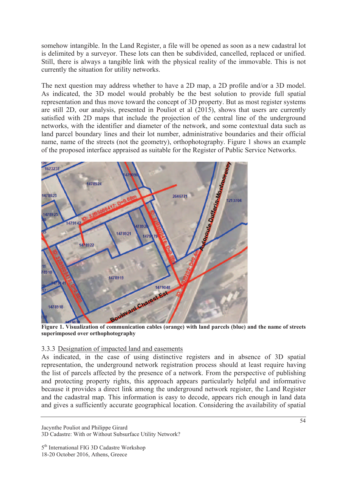somehow intangible. In the Land Register, a file will be opened as soon as a new cadastral lot is delimited by a surveyor. These lots can then be subdivided, cancelled, replaced or unified. Still, there is always a tangible link with the physical reality of the immovable. This is not currently the situation for utility networks.

The next question may address whether to have a 2D map, a 2D profile and/or a 3D model. As indicated, the 3D model would probably be the best solution to provide full spatial representation and thus move toward the concept of 3D property. But as most register systems are still 2D, our analysis, presented in Pouliot et al (2015), shows that users are currently satisfied with 2D maps that include the projection of the central line of the underground networks, with the identifier and diameter of the network, and some contextual data such as land parcel boundary lines and their lot number, administrative boundaries and their official name, name of the streets (not the geometry), orthophotography. Figure 1 shows an example of the proposed interface appraised as suitable for the Register of Public Service Networks.



**superimposed over orthophotography** 

#### 3.3.3 Designation of impacted land and easements

As indicated, in the case of using distinctive registers and in absence of 3D spatial representation, the underground network registration process should at least require having the list of parcels affected by the presence of a network. From the perspective of publishing and protecting property rights, this approach appears particularly helpful and informative because it provides a direct link among the underground network register, the Land Register and the cadastral map. This information is easy to decode, appears rich enough in land data and gives a sufficiently accurate geographical location. Considering the availability of spatial

Jacynthe Pouliot and Philippe Girard 3D Cadastre: With or Without Subsurface Utility Network?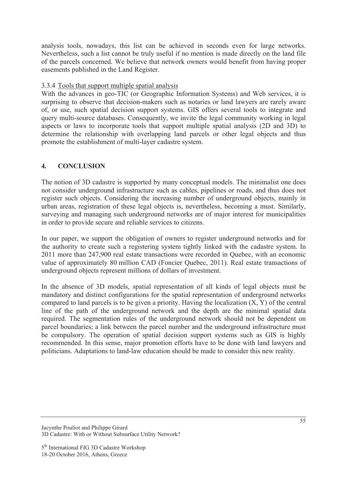analysis tools, nowadays, this list can be achieved in seconds even for large networks. Nevertheless, such a list cannot be truly useful if no mention is made directly on the land file of the parcels concerned. We believe that network owners would benefit from having proper easements published in the Land Register.

### 3.3.4 Tools that support multiple spatial analysis

With the advances in geo-TIC (or Geographic Information Systems) and Web services, it is surprising to observe that decision-makers such as notaries or land lawyers are rarely aware of, or use, such spatial decision support systems. GIS offers several tools to integrate and query multi-source databases. Consequently, we invite the legal community working in legal aspects or laws to incorporate tools that support multiple spatial analysis (2D and 3D) to determine the relationship with overlapping land parcels or other legal objects and thus promote the establishment of multi-layer cadastre system.

## **4. CONCLUSION**

The notion of 3D cadastre is supported by many conceptual models. The minimalist one does not consider underground infrastructure such as cables, pipelines or roads, and thus does not register such objects. Considering the increasing number of underground objects, mainly in urban areas, registration of these legal objects is, nevertheless, becoming a must. Similarly, surveying and managing such underground networks are of major interest for municipalities in order to provide secure and reliable services to citizens.

In our paper, we support the obligation of owners to register underground networks and for the authority to create such a registering system tightly linked with the cadastre system. In 2011 more than 247,900 real estate transactions were recorded in Quebec, with an economic value of approximately 80 million CAD (Foncier Quebec, 2011). Real estate transactions of underground objects represent millions of dollars of investment.

In the absence of 3D models, spatial representation of all kinds of legal objects must be mandatory and distinct configurations for the spatial representation of underground networks compared to land parcels is to be given a priority. Having the localization  $(X, Y)$  of the central line of the path of the underground network and the depth are the minimal spatial data required. The segmentation rules of the underground network should not be dependent on parcel boundaries; a link between the parcel number and the underground infrastructure must be compulsory. The operation of spatial decision support systems such as GIS is highly recommended. In this sense, major promotion efforts have to be done with land lawyers and politicians. Adaptations to land-law education should be made to consider this new reality.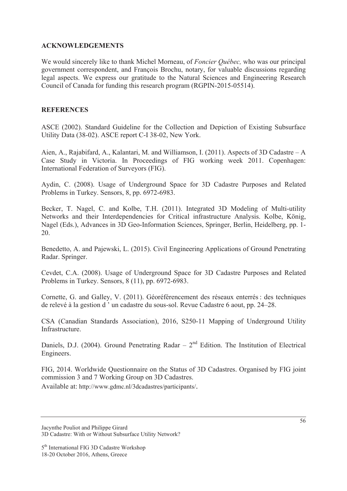#### **ACKNOWLEDGEMENTS**

We would sincerely like to thank Michel Morneau, of *Foncier Québec,* who was our principal government correspondent, and François Brochu, notary, for valuable discussions regarding legal aspects. We express our gratitude to the Natural Sciences and Engineering Research Council of Canada for funding this research program (RGPIN-2015-05514).

### **REFERENCES**

ASCE (2002). Standard Guideline for the Collection and Depiction of Existing Subsurface Utility Data (38-02). ASCE report C-I 38-02, New York.

Aien, A., Rajabifard, A., Kalantari, M. and Williamson, I. (2011). Aspects of 3D Cadastre – A Case Study in Victoria. In Proceedings of FIG working week 2011. Copenhagen: International Federation of Surveyors (FIG).

Aydin, C. (2008). Usage of Underground Space for 3D Cadastre Purposes and Related Problems in Turkey. Sensors, 8, pp. 6972-6983.

Becker, T. Nagel, C. and Kolbe, T.H. (2011). Integrated 3D Modeling of Multi-utility Networks and their Interdependencies for Critical infrastructure Analysis. Kolbe, König, Nagel (Eds.), Advances in 3D Geo-Information Sciences, Springer, Berlin, Heidelberg, pp. 1- 20.

Benedetto, A. and Pajewski, L. (2015). Civil Engineering Applications of Ground Penetrating Radar. Springer.

Cevdet, C.A. (2008). Usage of Underground Space for 3D Cadastre Purposes and Related Problems in Turkey. Sensors, 8 (11), pp. 6972-6983.

Cornette, G. and Galley, V. (2011). Géoréférencement des réseaux enterrés: des techniques de relevé à la gestion d ' un cadastre du sous-sol. Revue Cadastre 6 aout, pp. 24–28.

CSA (Canadian Standards Association), 2016, S250-11 Mapping of Underground Utility Infrastructure.

Daniels, D.J. (2004). Ground Penetrating Radar –  $2<sup>nd</sup>$  Edition. The Institution of Electrical Engineers.

FIG, 2014. Worldwide Questionnaire on the Status of 3D Cadastres. Organised by FIG joint commission 3 and 7 Working Group on 3D Cadastres.

Available at: http://www.gdmc.nl/3dcadastres/participants/.

Jacynthe Pouliot and Philippe Girard 3D Cadastre: With or Without Subsurface Utility Network?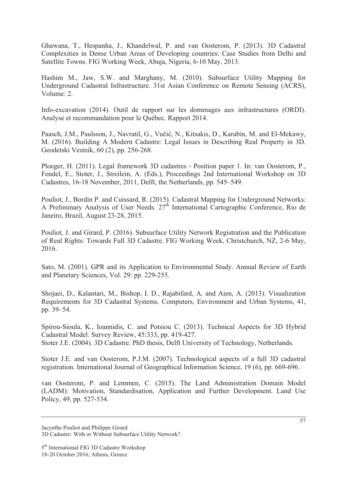Ghawana, T., Hespanha, J., Khandelwal, P. and van Oosterom, P. (2013). 3D Cadastral Complexities in Dense Urban Areas of Developing countries: Case Studies from Delhi and Satellite Towns. FIG Working Week, Abuja, Nigeria, 6-10 May, 2013.

Hashim M., Jaw, S.W. and Marghany, M. (2010). Subsurface Utility Mapping for Underground Cadastral Infrastructure. 31st Asian Conference on Remote Sensing (ACRS), Volume: 2.

Info-excavation (2014). Outil de rapport sur les dommages aux infrastructures (ORDI). Analyse et recommandation pour le Québec. Rapport 2014.

Paasch, J.M., Paulsson, J., Navratil, G., Vučić, N., Kitsakis, D., Karabin, M. and El-Mekawy, M. (2016). Building A Modern Cadastre: Legal Issues in Describing Real Property in 3D. Geodetski Vestnik, 60 (2), pp. 256-268.

Ploeger, H. (2011). Legal framework 3D cadastres - Position paper 1. In: van Oosterom, P., Fendel, E., Stoter, J., Streilein, A. (Eds.), Proceedings 2nd International Workshop on 3D Cadastres, 16-18 November, 2011, Delft, the Netherlands, pp. 545–549.

Pouliot, J., Bordin P. and Cuissard, R. (2015). Cadastral Mapping for Underground Networks: A Preliminary Analysis of User Needs.  $27<sup>th</sup>$  International Cartographic Conference, Rio de Janeiro, Brazil, August 23-28, 2015.

Pouliot, J. and Girard, P. (2016). Subsurface Utility Network Registration and the Publication of Real Rights: Towards Full 3D Cadastre. FIG Working Week, Christchurch, NZ, 2-6 May, 2016.

Sato, M. (2001). GPR and its Application to Environmental Study. Annual Review of Earth and Planetary Sciences, Vol. 29: pp. 229-255.

Shojaei, D., Kalantari, M., Bishop, I. D., Rajabifard, A. and Aien, A. (2013). Visualization Requirements for 3D Cadastral Systems. Computers, Environment and Urban Systems, 41, pp. 39–54.

Spirou-Sioula, K., Ioannidis, C. and Potsiou C. (2013). Technical Aspects for 3D Hybrid Cadastral Model. Survey Review, 45:333, pp. 419-427. Stoter J.E. (2004). 3D Cadastre. PhD thesis, Delft University of Technology, Netherlands.

Stoter J.E. and van Oosterom, P.J.M. (2007). Technological aspects of a full 3D cadastral registration. International Journal of Geographical Information Science, 19 (6), pp. 669-696.

van Oosterom, P. and Lemmen, C. (2015). The Land Administration Domain Model (LADM): Motivation, Standardisation, Application and Further Development. Land Use Policy, 49, pp. 527-534.

Jacynthe Pouliot and Philippe Girard 3D Cadastre: With or Without Subsurface Utility Network?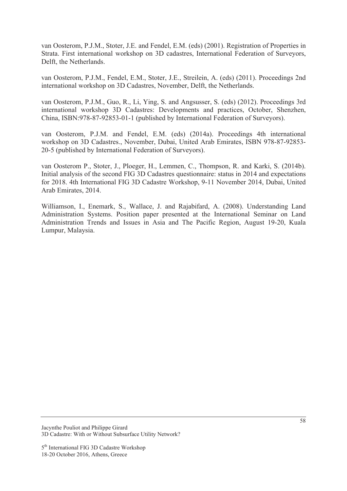van Oosterom, P.J.M., Stoter, J.E. and Fendel, E.M. (eds) (2001). Registration of Properties in Strata. First international workshop on 3D cadastres, International Federation of Surveyors, Delft, the Netherlands.

van Oosterom, P.J.M., Fendel, E.M., Stoter, J.E., Streilein, A. (eds) (2011). Proceedings 2nd international workshop on 3D Cadastres, November, Delft, the Netherlands.

van Oosterom, P.J.M., Guo, R., Li, Ying, S. and Angsusser, S. (eds) (2012). Proceedings 3rd international workshop 3D Cadastres: Developments and practices, October, Shenzhen, China, ISBN:978-87-92853-01-1 (published by International Federation of Surveyors).

van Oosterom, P.J.M. and Fendel, E.M. (eds) (2014a). Proceedings 4th international workshop on 3D Cadastres., November, Dubai, United Arab Emirates, ISBN 978-87-92853- 20-5 (published by International Federation of Surveyors).

van Oosterom P., Stoter, J., Ploeger, H., Lemmen, C., Thompson, R. and Karki, S. (2014b). Initial analysis of the second FIG 3D Cadastres questionnaire: status in 2014 and expectations for 2018. 4th International FIG 3D Cadastre Workshop, 9-11 November 2014, Dubai, United Arab Emirates, 2014.

Williamson, I., Enemark, S., Wallace, J. and Rajabifard, A. (2008). Understanding Land Administration Systems. Position paper presented at the International Seminar on Land Administration Trends and Issues in Asia and The Pacific Region, August 19-20, Kuala Lumpur, Malaysia.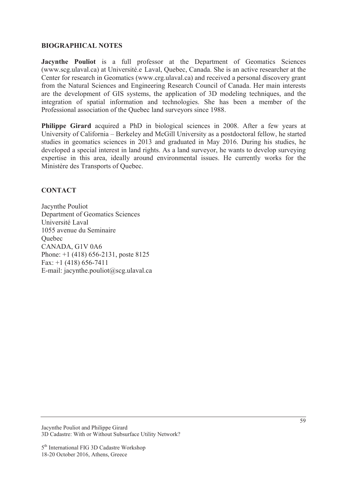#### **BIOGRAPHICAL NOTES**

**Jacynthe Pouliot** is a full professor at the Department of Geomatics Sciences (www.scg.ulaval.ca) at Université.e Laval, Quebec, Canada. She is an active researcher at the Center for research in Geomatics (www.crg.ulaval.ca) and received a personal discovery grant from the Natural Sciences and Engineering Research Council of Canada. Her main interests are the development of GIS systems, the application of 3D modeling techniques, and the integration of spatial information and technologies. She has been a member of the Professional association of the Quebec land surveyors since 1988.

**Philippe Girard** acquired a PhD in biological sciences in 2008. After a few years at University of California – Berkeley and McGill University as a postdoctoral fellow, he started studies in geomatics sciences in 2013 and graduated in May 2016. During his studies, he developed a special interest in land rights. As a land surveyor, he wants to develop surveying expertise in this area, ideally around environmental issues. He currently works for the Ministère des Transports of Quebec.

## **CONTACT**

Jacynthe Pouliot Department of Geomatics Sciences Université Laval 1055 avenue du Seminaire **Ouebec** CANADA, G1V 0A6 Phone: +1 (418) 656-2131, poste 8125 Fax: +1 (418) 656-7411 E-mail: jacynthe.pouliot@scg.ulaval.ca